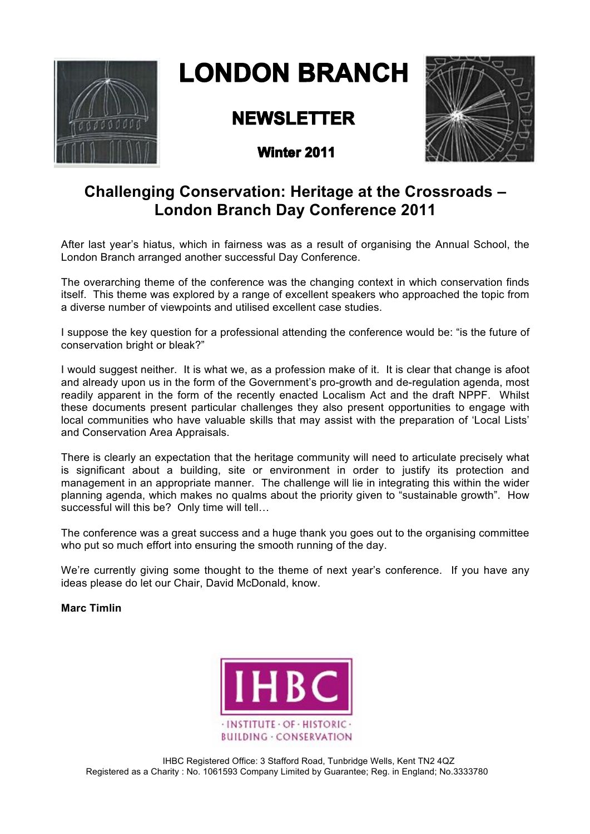

# **LONDON BRANCH**

## **NEWSLETTER**



**Winter 2011** 

## **Challenging Conservation: Heritage at the Crossroads – London Branch Day Conference 2011**

After last year's hiatus, which in fairness was as a result of organising the Annual School, the London Branch arranged another successful Day Conference.

The overarching theme of the conference was the changing context in which conservation finds itself. This theme was explored by a range of excellent speakers who approached the topic from a diverse number of viewpoints and utilised excellent case studies.

I suppose the key question for a professional attending the conference would be: "is the future of conservation bright or bleak?"

I would suggest neither. It is what we, as a profession make of it. It is clear that change is afoot and already upon us in the form of the Government's pro-growth and de-regulation agenda, most readily apparent in the form of the recently enacted Localism Act and the draft NPPF. Whilst these documents present particular challenges they also present opportunities to engage with local communities who have valuable skills that may assist with the preparation of 'Local Lists' and Conservation Area Appraisals.

There is clearly an expectation that the heritage community will need to articulate precisely what is significant about a building, site or environment in order to justify its protection and management in an appropriate manner. The challenge will lie in integrating this within the wider planning agenda, which makes no qualms about the priority given to "sustainable growth". How successful will this be? Only time will tell…

The conference was a great success and a huge thank you goes out to the organising committee who put so much effort into ensuring the smooth running of the day.

We're currently giving some thought to the theme of next year's conference. If you have any ideas please do let our Chair, David McDonald, know.

**Marc Timlin**

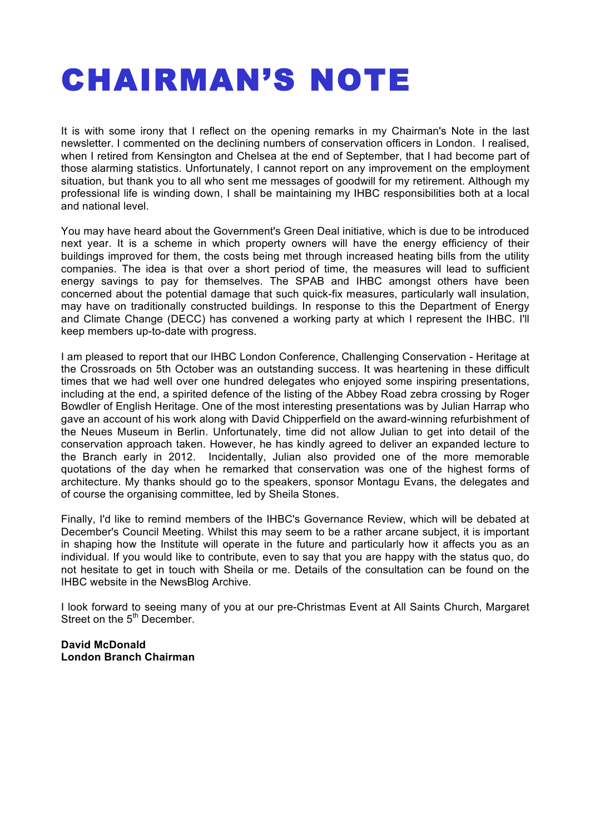# CHAIRMAN'S NOTE

It is with some irony that I reflect on the opening remarks in my Chairman's Note in the last newsletter. I commented on the declining numbers of conservation officers in London. I realised, when I retired from Kensington and Chelsea at the end of September, that I had become part of those alarming statistics. Unfortunately, I cannot report on any improvement on the employment situation, but thank you to all who sent me messages of goodwill for my retirement. Although my professional life is winding down, I shall be maintaining my IHBC responsibilities both at a local and national level.

You may have heard about the Government's Green Deal initiative, which is due to be introduced next year. It is a scheme in which property owners will have the energy efficiency of their buildings improved for them, the costs being met through increased heating bills from the utility companies. The idea is that over a short period of time, the measures will lead to sufficient energy savings to pay for themselves. The SPAB and IHBC amongst others have been concerned about the potential damage that such quick-fix measures, particularly wall insulation, may have on traditionally constructed buildings. In response to this the Department of Energy and Climate Change (DECC) has convened a working party at which I represent the IHBC. I'll keep members up-to-date with progress.

I am pleased to report that our IHBC London Conference, Challenging Conservation - Heritage at the Crossroads on 5th October was an outstanding success. It was heartening in these difficult times that we had well over one hundred delegates who enjoyed some inspiring presentations, including at the end, a spirited defence of the listing of the Abbey Road zebra crossing by Roger Bowdler of English Heritage. One of the most interesting presentations was by Julian Harrap who gave an account of his work along with David Chipperfield on the award-winning refurbishment of the Neues Museum in Berlin. Unfortunately, time did not allow Julian to get into detail of the conservation approach taken. However, he has kindly agreed to deliver an expanded lecture to the Branch early in 2012. Incidentally, Julian also provided one of the more memorable quotations of the day when he remarked that conservation was one of the highest forms of architecture. My thanks should go to the speakers, sponsor Montagu Evans, the delegates and of course the organising committee, led by Sheila Stones.

Finally, I'd like to remind members of the IHBC's Governance Review, which will be debated at December's Council Meeting. Whilst this may seem to be a rather arcane subject, it is important in shaping how the Institute will operate in the future and particularly how it affects you as an individual. If you would like to contribute, even to say that you are happy with the status quo, do not hesitate to get in touch with Sheila or me. Details of the consultation can be found on the IHBC website in the NewsBlog Archive.

I look forward to seeing many of you at our pre-Christmas Event at All Saints Church, Margaret Street on the 5<sup>th</sup> December.

**David McDonald London Branch Chairman**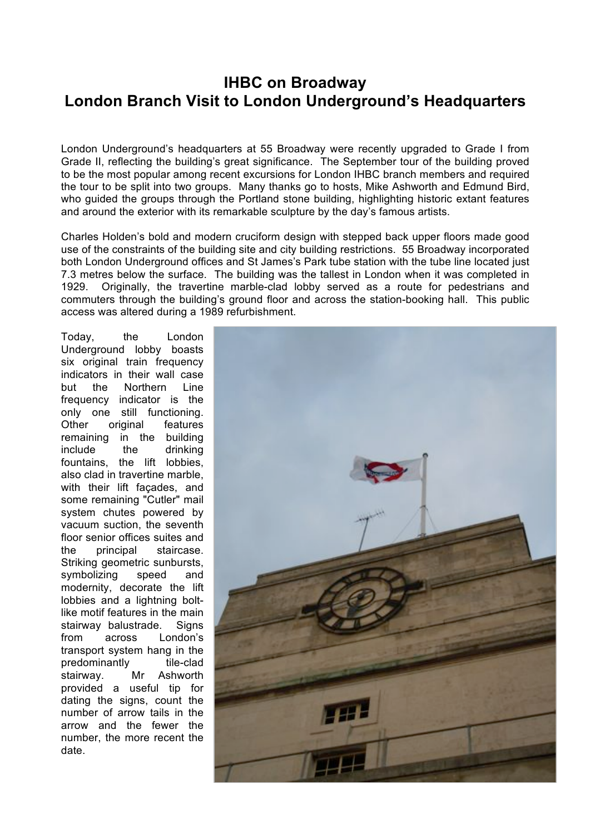## **IHBC on Broadway London Branch Visit to London Underground's Headquarters**

London Underground's headquarters at 55 Broadway were recently upgraded to Grade I from Grade II, reflecting the building's great significance. The September tour of the building proved to be the most popular among recent excursions for London IHBC branch members and required the tour to be split into two groups. Many thanks go to hosts, Mike Ashworth and Edmund Bird, who guided the groups through the Portland stone building, highlighting historic extant features and around the exterior with its remarkable sculpture by the day's famous artists.

Charles Holden's bold and modern cruciform design with stepped back upper floors made good use of the constraints of the building site and city building restrictions. 55 Broadway incorporated both London Underground offices and St James's Park tube station with the tube line located just 7.3 metres below the surface. The building was the tallest in London when it was completed in 1929. Originally, the travertine marble-clad lobby served as a route for pedestrians and commuters through the building's ground floor and across the station-booking hall. This public access was altered during a 1989 refurbishment.

Today, the London Underground lobby boasts six original train frequency indicators in their wall case but the Northern Line frequency indicator is the only one still functioning. Other original features remaining in the building include the drinking fountains, the lift lobbies, also clad in travertine marble, with their lift façades, and some remaining "Cutler" mail system chutes powered by vacuum suction, the seventh floor senior offices suites and the principal staircase. Striking geometric sunbursts, symbolizing speed and modernity, decorate the lift lobbies and a lightning boltlike motif features in the main stairway balustrade. Signs from across London's transport system hang in the predominantly tile-clad stairway. Mr Ashworth provided a useful tip for dating the signs, count the number of arrow tails in the arrow and the fewer the number, the more recent the date.

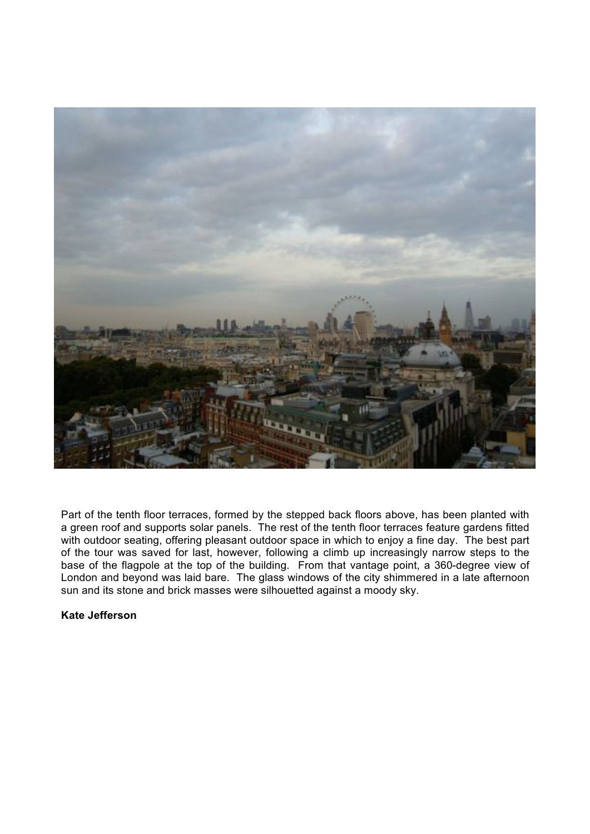

Part of the tenth floor terraces, formed by the stepped back floors above, has been planted with a green roof and supports solar panels. The rest of the tenth floor terraces feature gardens fitted with outdoor seating, offering pleasant outdoor space in which to enjoy a fine day. The best part of the tour was saved for last, however, following a climb up increasingly narrow steps to the base of the flagpole at the top of the building. From that vantage point, a 360-degree view of London and beyond was laid bare. The glass windows of the city shimmered in a late afternoon sun and its stone and brick masses were silhouetted against a moody sky.

#### **Kate Jefferson**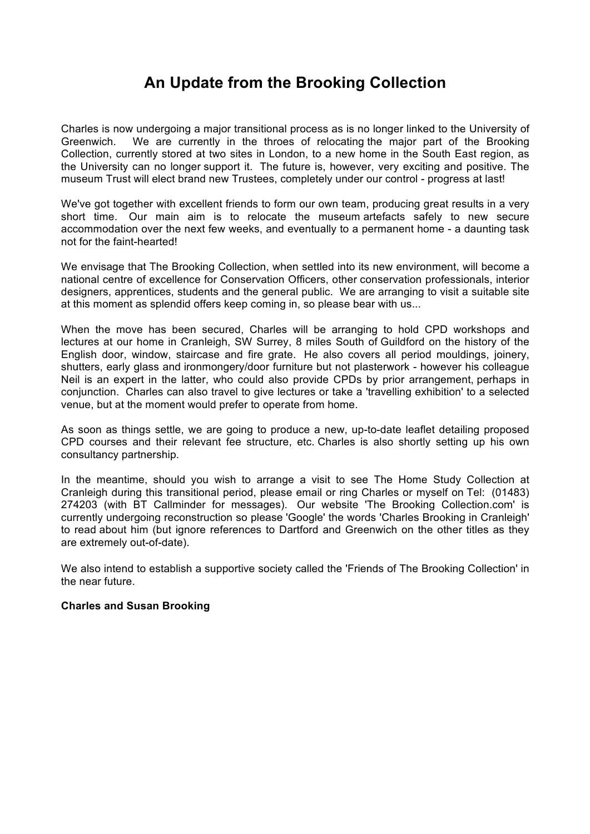## **An Update from the Brooking Collection**

Charles is now undergoing a major transitional process as is no longer linked to the University of Greenwich. We are currently in the throes of relocating the major part of the Brooking Collection, currently stored at two sites in London, to a new home in the South East region, as the University can no longer support it. The future is, however, very exciting and positive. The museum Trust will elect brand new Trustees, completely under our control - progress at last!

We've got together with excellent friends to form our own team, producing great results in a very short time. Our main aim is to relocate the museum artefacts safely to new secure accommodation over the next few weeks, and eventually to a permanent home - a daunting task not for the faint-hearted!

We envisage that The Brooking Collection, when settled into its new environment, will become a national centre of excellence for Conservation Officers, other conservation professionals, interior designers, apprentices, students and the general public. We are arranging to visit a suitable site at this moment as splendid offers keep coming in, so please bear with us...

When the move has been secured, Charles will be arranging to hold CPD workshops and lectures at our home in Cranleigh, SW Surrey, 8 miles South of Guildford on the history of the English door, window, staircase and fire grate. He also covers all period mouldings, joinery, shutters, early glass and ironmongery/door furniture but not plasterwork - however his colleague Neil is an expert in the latter, who could also provide CPDs by prior arrangement, perhaps in conjunction. Charles can also travel to give lectures or take a 'travelling exhibition' to a selected venue, but at the moment would prefer to operate from home.

As soon as things settle, we are going to produce a new, up-to-date leaflet detailing proposed CPD courses and their relevant fee structure, etc. Charles is also shortly setting up his own consultancy partnership.

In the meantime, should you wish to arrange a visit to see The Home Study Collection at Cranleigh during this transitional period, please email or ring Charles or myself on Tel: (01483) 274203 (with BT Callminder for messages). Our website 'The Brooking Collection.com' is currently undergoing reconstruction so please 'Google' the words 'Charles Brooking in Cranleigh' to read about him (but ignore references to Dartford and Greenwich on the other titles as they are extremely out-of-date).

We also intend to establish a supportive society called the 'Friends of The Brooking Collection' in the near future.

#### **Charles and Susan Brooking**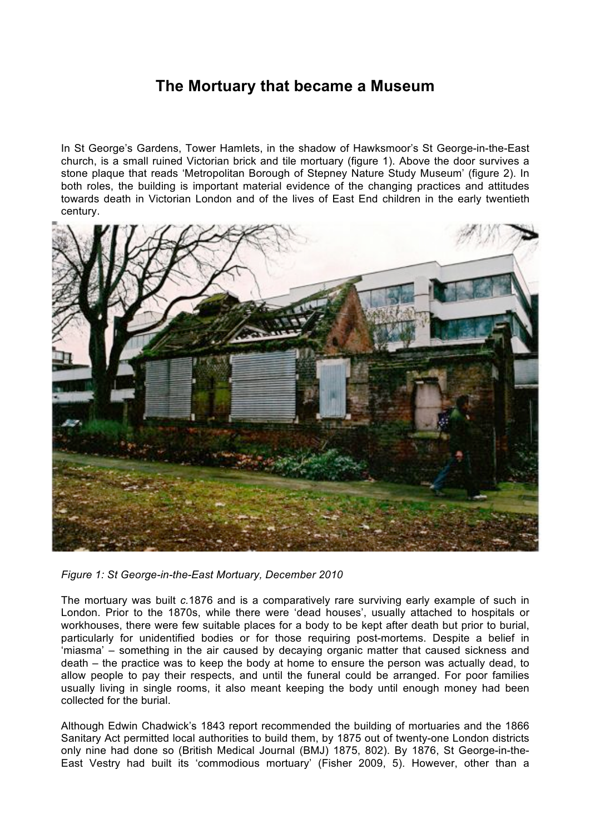### **The Mortuary that became a Museum**

In St George's Gardens, Tower Hamlets, in the shadow of Hawksmoor's St George-in-the-East church, is a small ruined Victorian brick and tile mortuary (figure 1). Above the door survives a stone plaque that reads 'Metropolitan Borough of Stepney Nature Study Museum' (figure 2). In both roles, the building is important material evidence of the changing practices and attitudes towards death in Victorian London and of the lives of East End children in the early twentieth century.



*Figure 1: St George-in-the-East Mortuary, December 2010*

The mortuary was built *c.*1876 and is a comparatively rare surviving early example of such in London. Prior to the 1870s, while there were 'dead houses', usually attached to hospitals or workhouses, there were few suitable places for a body to be kept after death but prior to burial, particularly for unidentified bodies or for those requiring post-mortems. Despite a belief in 'miasma' – something in the air caused by decaying organic matter that caused sickness and death – the practice was to keep the body at home to ensure the person was actually dead, to allow people to pay their respects, and until the funeral could be arranged. For poor families usually living in single rooms, it also meant keeping the body until enough money had been collected for the burial.

Although Edwin Chadwick's 1843 report recommended the building of mortuaries and the 1866 Sanitary Act permitted local authorities to build them, by 1875 out of twenty-one London districts only nine had done so (British Medical Journal (BMJ) 1875, 802). By 1876, St George-in-the-East Vestry had built its 'commodious mortuary' (Fisher 2009, 5). However, other than a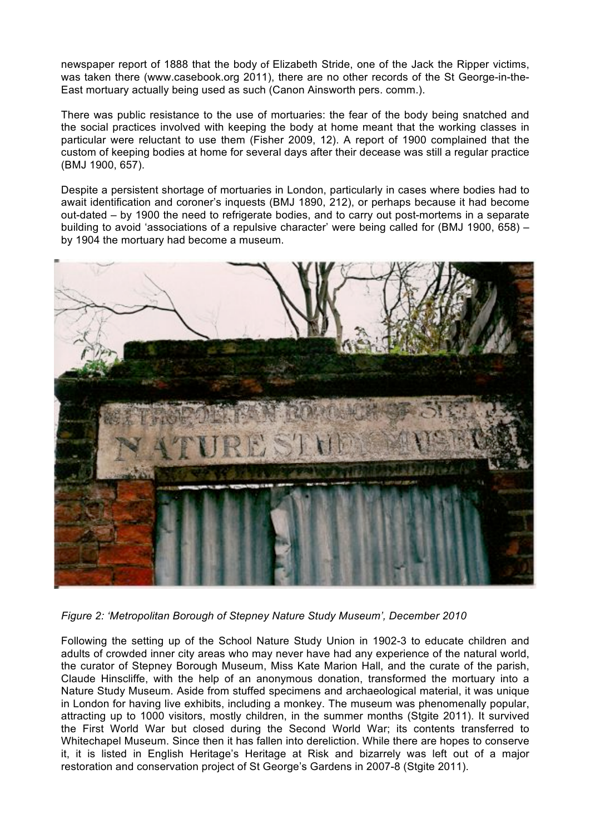newspaper report of 1888 that the body of Elizabeth Stride, one of the Jack the Ripper victims, was taken there (www.casebook.org 2011), there are no other records of the St George-in-the-East mortuary actually being used as such (Canon Ainsworth pers. comm.).

There was public resistance to the use of mortuaries: the fear of the body being snatched and the social practices involved with keeping the body at home meant that the working classes in particular were reluctant to use them (Fisher 2009, 12). A report of 1900 complained that the custom of keeping bodies at home for several days after their decease was still a regular practice (BMJ 1900, 657).

Despite a persistent shortage of mortuaries in London, particularly in cases where bodies had to await identification and coroner's inquests (BMJ 1890, 212), or perhaps because it had become out-dated – by 1900 the need to refrigerate bodies, and to carry out post-mortems in a separate building to avoid 'associations of a repulsive character' were being called for (BMJ 1900, 658) – by 1904 the mortuary had become a museum.



*Figure 2: 'Metropolitan Borough of Stepney Nature Study Museum', December 2010*

Following the setting up of the School Nature Study Union in 1902-3 to educate children and adults of crowded inner city areas who may never have had any experience of the natural world, the curator of Stepney Borough Museum, Miss Kate Marion Hall, and the curate of the parish, Claude Hinscliffe, with the help of an anonymous donation, transformed the mortuary into a Nature Study Museum. Aside from stuffed specimens and archaeological material, it was unique in London for having live exhibits, including a monkey. The museum was phenomenally popular, attracting up to 1000 visitors, mostly children, in the summer months (Stgite 2011). It survived the First World War but closed during the Second World War; its contents transferred to Whitechapel Museum. Since then it has fallen into dereliction. While there are hopes to conserve it, it is listed in English Heritage's Heritage at Risk and bizarrely was left out of a major restoration and conservation project of St George's Gardens in 2007-8 (Stgite 2011).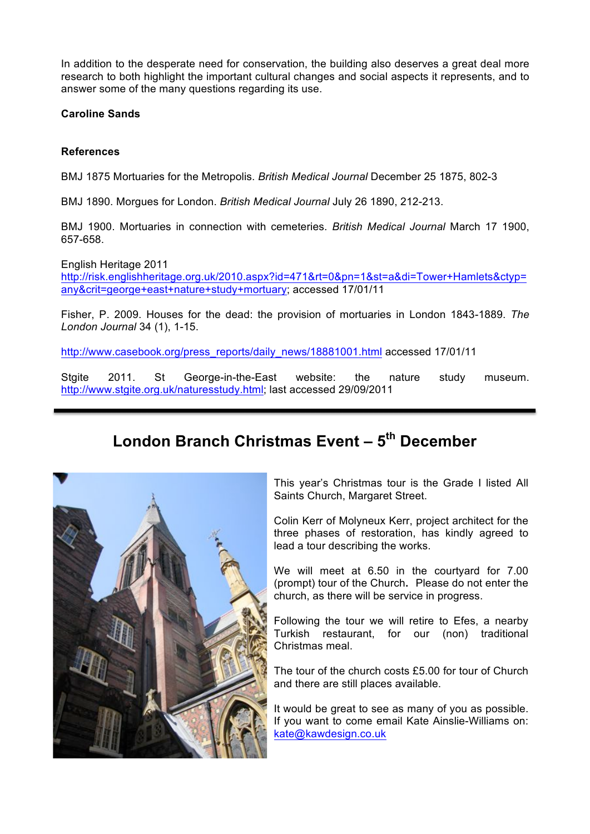In addition to the desperate need for conservation, the building also deserves a great deal more research to both highlight the important cultural changes and social aspects it represents, and to answer some of the many questions regarding its use.

**Caroline Sands**

#### **References**

3

BMJ 1875 Mortuaries for the Metropolis. *British Medical Journal* December 25 1875, 802-3

BMJ 1890. Morgues for London. *British Medical Journal* July 26 1890, 212-213.

BMJ 1900. Mortuaries in connection with cemeteries. *British Medical Journal* March 17 1900, 657-658.

English Heritage 2011 http://risk.englishheritage.org.uk/2010.aspx?id=471&rt=0&pn=1&st=a&di=Tower+Hamlets&ctyp= any&crit=george+east+nature+study+mortuary; accessed 17/01/11

Fisher, P. 2009. Houses for the dead: the provision of mortuaries in London 1843-1889. *The London Journal* 34 (1), 1-15.

http://www.casebook.org/press\_reports/daily\_news/18881001.html accessed 17/01/11

Stgite 2011. St George-in-the-East website: the nature study museum. http://www.stgite.org.uk/naturesstudy.html; last accessed 29/09/2011

## **London Branch Christmas Event – 5th December**



This year's Christmas tour is the Grade I listed All Saints Church, Margaret Street.

Colin Kerr of Molyneux Kerr, project architect for the three phases of restoration, has kindly agreed to lead a tour describing the works.

We will meet at 6.50 in the courtyard for 7.00 (prompt) tour of the Church**.** Please do not enter the church, as there will be service in progress.

Following the tour we will retire to Efes, a nearby Turkish restaurant, for our (non) traditional Christmas meal.

The tour of the church costs £5.00 for tour of Church and there are still places available.

It would be great to see as many of you as possible. If you want to come email Kate Ainslie-Williams on: kate@kawdesign.co.uk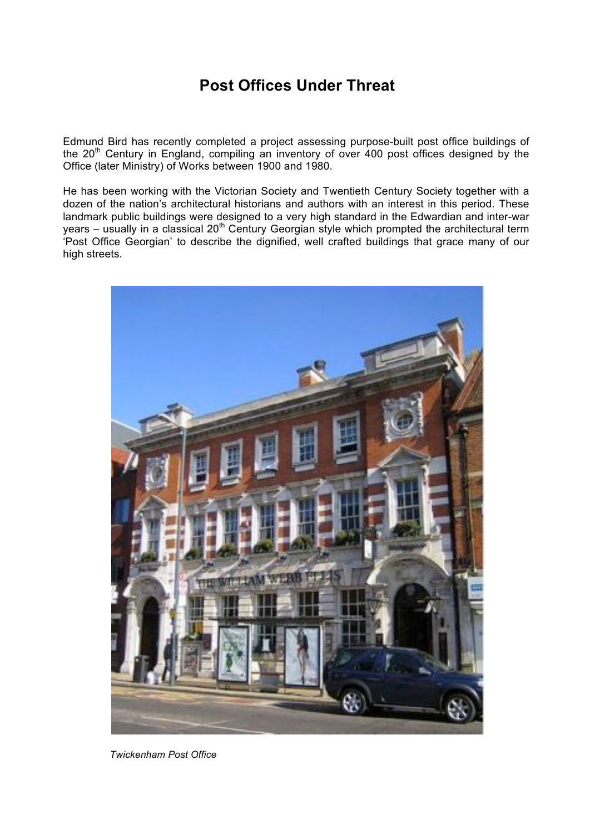## **Post Offices Under Threat**

Edmund Bird has recently completed a project assessing purpose-built post office buildings of the 20<sup>th</sup> Century in England, compiling an inventory of over 400 post offices designed by the Office (later Ministry) of Works between 1900 and 1980.

He has been working with the Victorian Society and Twentieth Century Society together with a dozen of the nation's architectural historians and authors with an interest in this period. These landmark public buildings were designed to a very high standard in the Edwardian and inter-war years – usually in a classical 20th Century Georgian style which prompted the architectural term 'Post Office Georgian' to describe the dignified, well crafted buildings that grace many of our high streets.



 *Twickenham Post Office*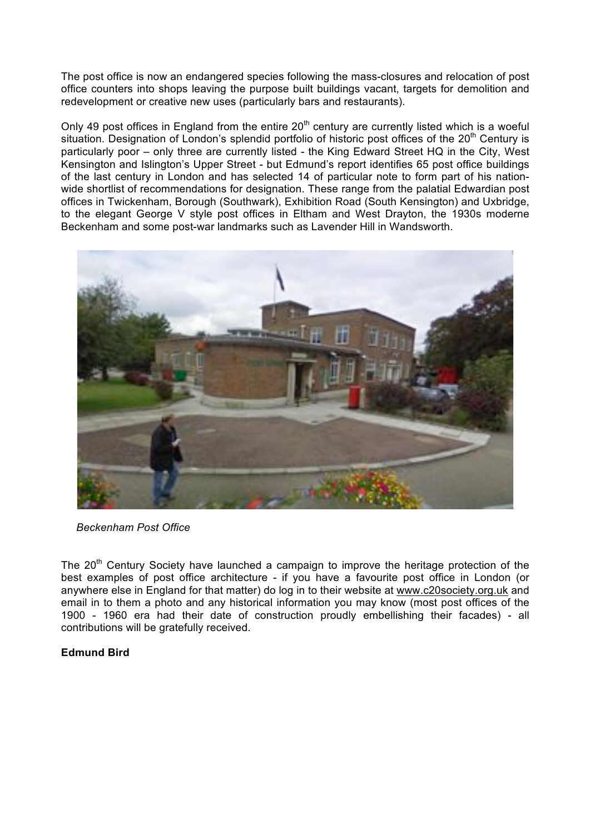The post office is now an endangered species following the mass-closures and relocation of post office counters into shops leaving the purpose built buildings vacant, targets for demolition and redevelopment or creative new uses (particularly bars and restaurants).

Only 49 post offices in England from the entire  $20<sup>th</sup>$  century are currently listed which is a woeful situation. Designation of London's splendid portfolio of historic post offices of the 20<sup>th</sup> Century is particularly poor – only three are currently listed - the King Edward Street HQ in the City, West Kensington and Islington's Upper Street - but Edmund's report identifies 65 post office buildings of the last century in London and has selected 14 of particular note to form part of his nationwide shortlist of recommendations for designation. These range from the palatial Edwardian post offices in Twickenham, Borough (Southwark), Exhibition Road (South Kensington) and Uxbridge, to the elegant George V style post offices in Eltham and West Drayton, the 1930s moderne Beckenham and some post-war landmarks such as Lavender Hill in Wandsworth.



 *Beckenham Post Office*

The  $20<sup>th</sup>$  Century Society have launched a campaign to improve the heritage protection of the best examples of post office architecture - if you have a favourite post office in London (or anywhere else in England for that matter) do log in to their website at www.c20society.org.uk and email in to them a photo and any historical information you may know (most post offices of the 1900 - 1960 era had their date of construction proudly embellishing their facades) - all contributions will be gratefully received.

#### **Edmund Bird**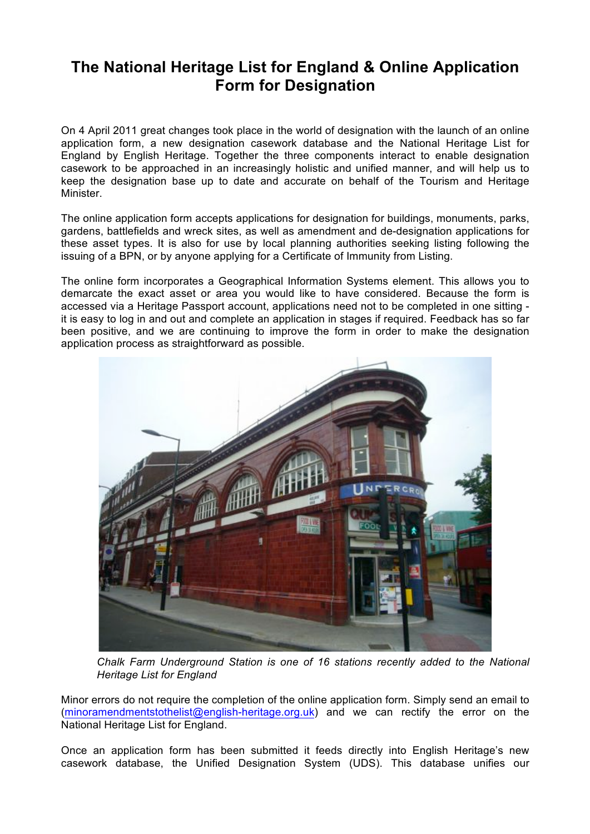## **The National Heritage List for England & Online Application Form for Designation**

On 4 April 2011 great changes took place in the world of designation with the launch of an online application form, a new designation casework database and the National Heritage List for England by English Heritage. Together the three components interact to enable designation casework to be approached in an increasingly holistic and unified manner, and will help us to keep the designation base up to date and accurate on behalf of the Tourism and Heritage Minister.

The online application form accepts applications for designation for buildings, monuments, parks, gardens, battlefields and wreck sites, as well as amendment and de-designation applications for these asset types. It is also for use by local planning authorities seeking listing following the issuing of a BPN, or by anyone applying for a Certificate of Immunity from Listing.

The online form incorporates a Geographical Information Systems element. This allows you to demarcate the exact asset or area you would like to have considered. Because the form is accessed via a Heritage Passport account, applications need not to be completed in one sitting it is easy to log in and out and complete an application in stages if required. Feedback has so far been positive, and we are continuing to improve the form in order to make the designation application process as straightforward as possible.



*Chalk Farm Underground Station is one of 16 stations recently added to the National Heritage List for England*

Minor errors do not require the completion of the online application form. Simply send an email to (minoramendmentstothelist@english-heritage.org.uk) and we can rectify the error on the National Heritage List for England.

Once an application form has been submitted it feeds directly into English Heritage's new casework database, the Unified Designation System (UDS). This database unifies our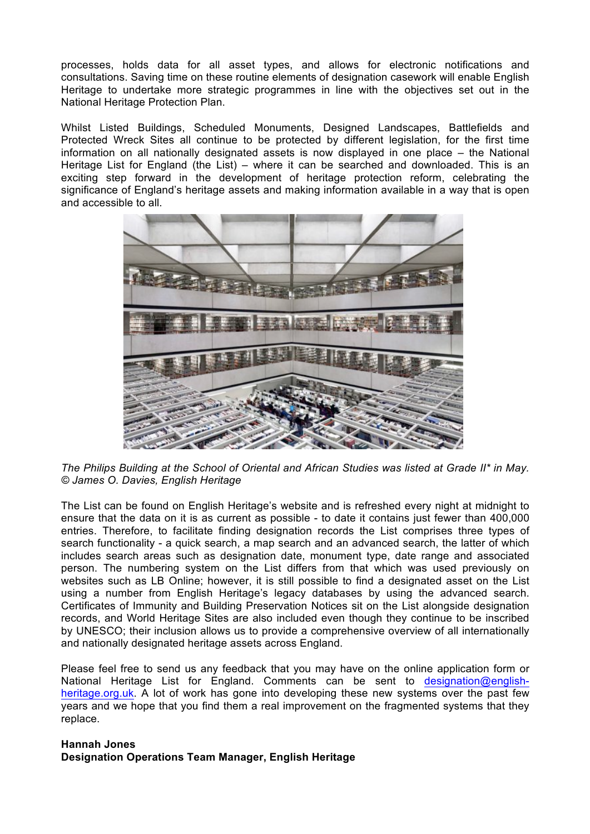processes, holds data for all asset types, and allows for electronic notifications and consultations. Saving time on these routine elements of designation casework will enable English Heritage to undertake more strategic programmes in line with the objectives set out in the National Heritage Protection Plan.

Whilst Listed Buildings, Scheduled Monuments, Designed Landscapes, Battlefields and Protected Wreck Sites all continue to be protected by different legislation, for the first time information on all nationally designated assets is now displayed in one place – the National Heritage List for England (the List) – where it can be searched and downloaded. This is an exciting step forward in the development of heritage protection reform, celebrating the significance of England's heritage assets and making information available in a way that is open and accessible to all.



*The Philips Building at the School of Oriental and African Studies was listed at Grade II\* in May. © James O. Davies, English Heritage*

The List can be found on English Heritage's website and is refreshed every night at midnight to ensure that the data on it is as current as possible - to date it contains just fewer than 400,000 entries. Therefore, to facilitate finding designation records the List comprises three types of search functionality - a quick search, a map search and an advanced search, the latter of which includes search areas such as designation date, monument type, date range and associated person. The numbering system on the List differs from that which was used previously on websites such as LB Online; however, it is still possible to find a designated asset on the List using a number from English Heritage's legacy databases by using the advanced search. Certificates of Immunity and Building Preservation Notices sit on the List alongside designation records, and World Heritage Sites are also included even though they continue to be inscribed by UNESCO; their inclusion allows us to provide a comprehensive overview of all internationally and nationally designated heritage assets across England.

Please feel free to send us any feedback that you may have on the online application form or National Heritage List for England. Comments can be sent to designation@englishheritage.org.uk. A lot of work has gone into developing these new systems over the past few years and we hope that you find them a real improvement on the fragmented systems that they replace.

#### **Hannah Jones Designation Operations Team Manager, English Heritage**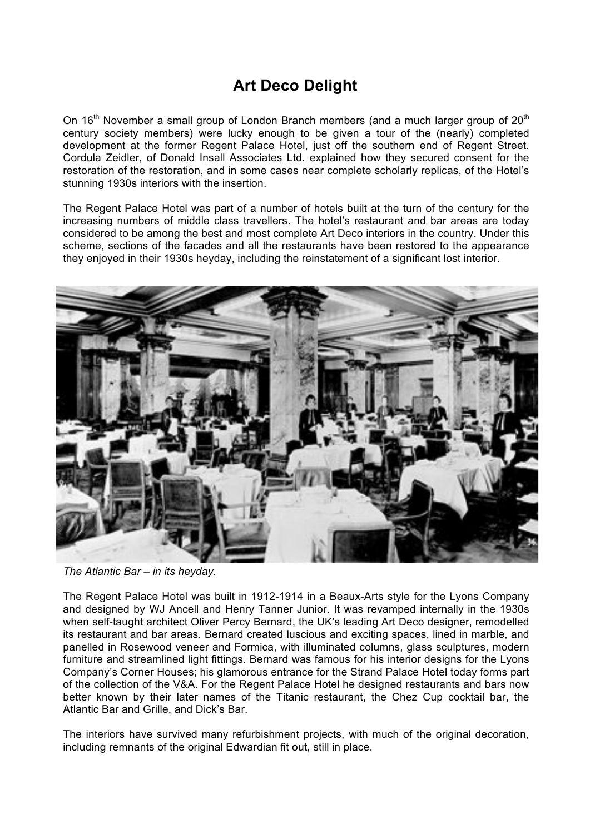## **Art Deco Delight**

On 16<sup>th</sup> November a small group of London Branch members (and a much larger group of  $20<sup>th</sup>$ century society members) were lucky enough to be given a tour of the (nearly) completed development at the former Regent Palace Hotel, just off the southern end of Regent Street. Cordula Zeidler, of Donald Insall Associates Ltd. explained how they secured consent for the restoration of the restoration, and in some cases near complete scholarly replicas, of the Hotel's stunning 1930s interiors with the insertion.

The Regent Palace Hotel was part of a number of hotels built at the turn of the century for the increasing numbers of middle class travellers. The hotel's restaurant and bar areas are today considered to be among the best and most complete Art Deco interiors in the country. Under this scheme, sections of the facades and all the restaurants have been restored to the appearance they enjoyed in their 1930s heyday, including the reinstatement of a significant lost interior.



*The Atlantic Bar – in its heyday.*

The Regent Palace Hotel was built in 1912-1914 in a Beaux-Arts style for the Lyons Company and designed by WJ Ancell and Henry Tanner Junior. It was revamped internally in the 1930s when self-taught architect Oliver Percy Bernard, the UK's leading Art Deco designer, remodelled its restaurant and bar areas. Bernard created luscious and exciting spaces, lined in marble, and panelled in Rosewood veneer and Formica, with illuminated columns, glass sculptures, modern furniture and streamlined light fittings. Bernard was famous for his interior designs for the Lyons Company's Corner Houses; his glamorous entrance for the Strand Palace Hotel today forms part of the collection of the V&A. For the Regent Palace Hotel he designed restaurants and bars now better known by their later names of the Titanic restaurant, the Chez Cup cocktail bar, the Atlantic Bar and Grille, and Dick's Bar.

The interiors have survived many refurbishment projects, with much of the original decoration, including remnants of the original Edwardian fit out, still in place.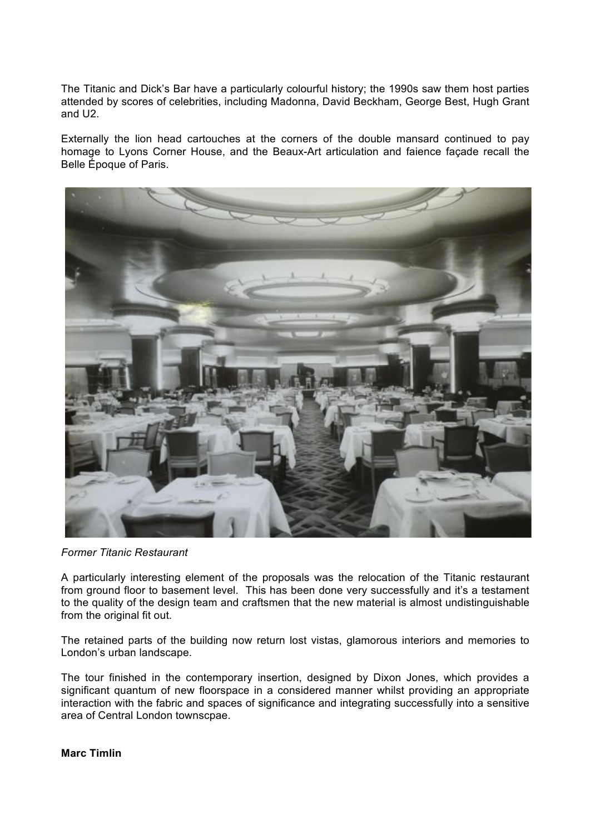The Titanic and Dick's Bar have a particularly colourful history; the 1990s saw them host parties attended by scores of celebrities, including Madonna, David Beckham, George Best, Hugh Grant and U2.

Externally the lion head cartouches at the corners of the double mansard continued to pay homage to Lyons Corner House, and the Beaux-Art articulation and faience façade recall the Belle Époque of Paris.



*Former Titanic Restaurant*

A particularly interesting element of the proposals was the relocation of the Titanic restaurant from ground floor to basement level. This has been done very successfully and it's a testament to the quality of the design team and craftsmen that the new material is almost undistinguishable from the original fit out.

The retained parts of the building now return lost vistas, glamorous interiors and memories to London's urban landscape.

The tour finished in the contemporary insertion, designed by Dixon Jones, which provides a significant quantum of new floorspace in a considered manner whilst providing an appropriate interaction with the fabric and spaces of significance and integrating successfully into a sensitive area of Central London townscpae.

**Marc Timlin**